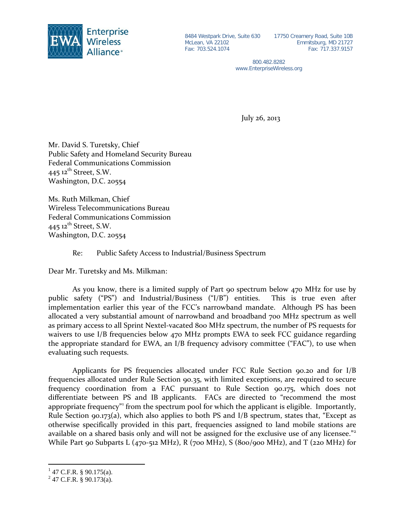

McLean, VA 22102 Fax: 703.524.1074

8484 Westpark Drive, Suite 630 17750 Creamery Road, Suite 10B Emmitsburg, MD 21727 Fax: 717.337.9157

> 800.482.8282 www.EnterpriseWireless.org

July 26, 2013

Mr. David S. Turetsky, Chief Public Safety and Homeland Security Bureau Federal Communications Commission  $445$  12<sup>th</sup> Street, S.W. Washington, D.C. 20554

Ms. Ruth Milkman, Chief Wireless Telecommunications Bureau Federal Communications Commission 445  $12^{th}$  Street, S.W. Washington, D.C. 20554

Re: Public Safety Access to Industrial/Business Spectrum

Dear Mr. Turetsky and Ms. Milkman:

As you know, there is a limited supply of Part 90 spectrum below 470 MHz for use by public safety ("PS") and Industrial/Business ("I/B") entities. This is true even after implementation earlier this year of the FCC's narrowband mandate. Although PS has been allocated a very substantial amount of narrowband and broadband 700 MHz spectrum as well as primary access to all Sprint Nextel-vacated 800 MHz spectrum, the number of PS requests for waivers to use I/B frequencies below 470 MHz prompts EWA to seek FCC guidance regarding the appropriate standard for EWA, an I/B frequency advisory committee ("FAC"), to use when evaluating such requests.

Applicants for PS frequencies allocated under FCC Rule Section 90.20 and for I/B frequencies allocated under Rule Section 90.35, with limited exceptions, are required to secure frequency coordination from a FAC pursuant to Rule Section 90.175, which does not differentiate between PS and IB applicants. FACs are directed to "recommend the most appropriate frequency" from the spectrum pool for which the applicant is eligible. Importantly, Rule Section 90.173(a), which also applies to both PS and I/B spectrum, states that, "Except as otherwise specifically provided in this part, frequencies assigned to land mobile stations are available on a shared basis only and will not be assigned for the exclusive use of any licensee."<sup>[2](#page-0-1)</sup> While Part 90 Subparts L (470-512 MHz), R (700 MHz), S (800/900 MHz), and T (220 MHz) for

<span id="page-0-0"></span> $^{1}$  47 C.F.R. § 90.175(a).

<span id="page-0-1"></span> $2$  47 C.F.R. § 90.173(a).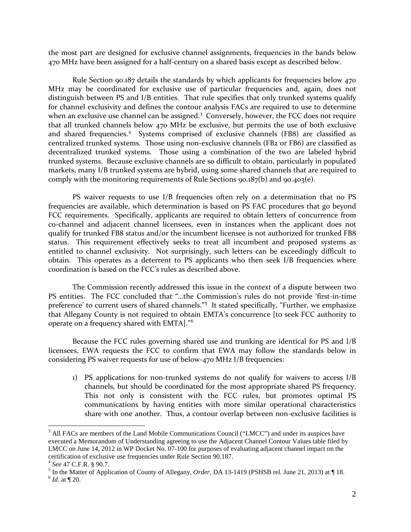the most part are designed for exclusive channel assignments, frequencies in the bands below 470 MHz have been assigned for a half-century on a shared basis except as described below.

Rule Section 90.187 details the standards by which applicants for frequencies below 470 MHz may be coordinated for exclusive use of particular frequencies and, again, does not distinguish between PS and I/B entities. That rule specifies that only trunked systems qualify for channel exclusivity and defines the contour analysis FACs are required to use to determine when an exclusive use channel can be assigned.<sup>[3](#page-1-0)</sup> Conversely, however, the FCC does not require that all trunked channels below 470 MHz be exclusive, but permits the use of both exclusive and shared frequencies.<sup>[4](#page-1-1)</sup> Systems comprised of exclusive channels (FB8) are classified as centralized trunked systems. Those using non-exclusive channels (FB2 or FB6) are classified as decentralized trunked systems. Those using a combination of the two are labeled hybrid trunked systems. Because exclusive channels are so difficult to obtain, particularly in populated markets, many I/B trunked systems are hybrid, using some shared channels that are required to comply with the monitoring requirements of Rule Sections 90.187(b) and 90.403(e).

PS waiver requests to use I/B frequencies often rely on a determination that no PS frequencies are available, which determination is based on PS FAC procedures that go beyond FCC requirements. Specifically, applicants are required to obtain letters of concurrence from co-channel and adjacent channel licensees, even in instances when the applicant does not qualify for trunked FB8 status and/or the incumbent licensee is not authorized for trunked FB8 status. This requirement effectively seeks to treat all incumbent and proposed systems as entitled to channel exclusivity. Not surprisingly, such letters can be exceedingly difficult to obtain. This operates as a deterrent to PS applicants who then seek I/B frequencies where coordination is based on the FCC's rules as described above.

The Commission recently addressed this issue in the context of a dispute between two PS entities. The FCC concluded that "…the Commission's rules do not provide 'first-in-time preference' to current users of shared channels."<sup>[5](#page-1-2)</sup> It stated specifically, "Further, we emphasize that Allegany County is not required to obtain EMTA's concurrence [to seek FCC authority to operate on a frequency shared with EMTA]."<sup>[6](#page-1-3)</sup>

Because the FCC rules governing shared use and trunking are identical for PS and I/B licensees, EWA requests the FCC to confirm that EWA may follow the standards below in considering PS waiver requests for use of below-470 MHz I/B frequencies:

1) PS applications for non-trunked systems do not qualify for waivers to access I/B channels, but should be coordinated for the most appropriate shared PS frequency. This not only is consistent with the FCC rules, but promotes optimal PS communications by having entities with more similar operational characteristics share with one another. Thus, a contour overlap between non-exclusive facilities is

<span id="page-1-0"></span><sup>&</sup>lt;sup>3</sup> All FACs are members of the Land Mobile Communications Council ("LMCC") and under its auspices have executed a Memorandum of Understanding agreeing to use the Adjacent Channel Contour Values table filed by LMCC on June 14, 2012 in WP Docket No. 07-100 for purposes of evaluating adjacent channel impact on the certification of exclusive use frequencies under Rule Section 90.187.<br><sup>4</sup> See 47 C.F.R. § 90.7.

<span id="page-1-1"></span>

<span id="page-1-3"></span><span id="page-1-2"></span><sup>&</sup>lt;sup>5</sup> In the Matter of Application of County of Allegany, *Order*, DA 13-1419 (PSHSB rel. June 21, 2013) at ¶ 18. <sup>6</sup> *Id.* at ¶ 20.